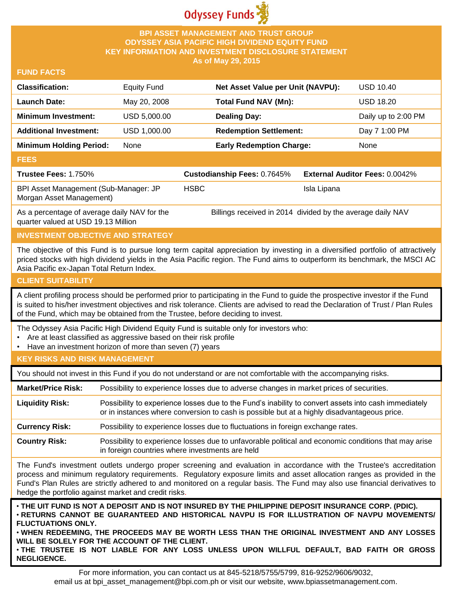

## **BPI ASSET MANAGEMENT AND TRUST GROUP ODYSSEY ASIA PACIFIC HIGH DIVIDEND EQUITY FUND KEY INFORMATION AND INVESTMENT DISCLOSURE STATEMENT As of May 29, 2015**

#### **FUND FACTS**

| <b>Classification:</b>                                                              | <b>Equity Fund</b> |             | Net Asset Value per Unit (NAVPU):                          |  | <b>USD 10.40</b>                      |
|-------------------------------------------------------------------------------------|--------------------|-------------|------------------------------------------------------------|--|---------------------------------------|
| <b>Launch Date:</b>                                                                 | May 20, 2008       |             | Total Fund NAV (Mn):                                       |  | <b>USD 18.20</b>                      |
| <b>Minimum Investment:</b>                                                          | USD 5,000.00       |             | <b>Dealing Day:</b>                                        |  | Daily up to 2:00 PM                   |
| <b>Additional Investment:</b>                                                       | USD 1,000.00       |             | <b>Redemption Settlement:</b>                              |  | Day 7 1:00 PM                         |
| <b>Minimum Holding Period:</b>                                                      | None               |             | <b>Early Redemption Charge:</b>                            |  | None                                  |
| <b>FEES</b>                                                                         |                    |             |                                                            |  |                                       |
| Trustee Fees: 1.750%                                                                |                    |             | <b>Custodianship Fees: 0.7645%</b>                         |  | <b>External Auditor Fees: 0.0042%</b> |
| BPI Asset Management (Sub-Manager: JP<br>Morgan Asset Management)                   |                    | <b>HSBC</b> | Isla Lipana                                                |  |                                       |
| As a percentage of average daily NAV for the<br>quarter valued at USD 19.13 Million |                    |             | Billings received in 2014 divided by the average daily NAV |  |                                       |

### **INVESTMENT OBJECTIVE AND STRATEGY**

The objective of this Fund is to pursue long term capital appreciation by investing in a diversified portfolio of attractively priced stocks with high dividend yields in the Asia Pacific region. The Fund aims to outperform its benchmark, the MSCI AC Asia Pacific ex-Japan Total Return Index.

### **CLIENT SUITABILITY**

A client profiling process should be performed prior to participating in the Fund to guide the prospective investor if the Fund is suited to his/her investment objectives and risk tolerance. Clients are advised to read the Declaration of Trust / Plan Rules of the Fund, which may be obtained from the Trustee, before deciding to invest.

The Odyssey Asia Pacific High Dividend Equity Fund is suitable only for investors who:

- Are at least classified as aggressive based on their risk profile
- Have an investment horizon of more than seven (7) years

## **KEY RISKS AND RISK MANAGEMENT**

You should not invest in this Fund if you do not understand or are not comfortable with the accompanying risks.

**Market/Price Risk:** Possibility to experience losses due to adverse changes in market prices of securities.

**Liquidity Risk:** Possibility to experience losses due to the Fund's inability to convert assets into cash immediately or in instances where conversion to cash is possible but at a highly disadvantageous price.

**Currency Risk:** Possibility to experience losses due to fluctuations in foreign exchange rates.

**Country Risk:** Possibility to experience losses due to unfavorable political and economic conditions that may arise in foreign countries where investments are held

The Fund's investment outlets undergo proper screening and evaluation in accordance with the Trustee's accreditation process and minimum regulatory requirements. Regulatory exposure limits and asset allocation ranges as provided in the Fund's Plan Rules are strictly adhered to and monitored on a regular basis. The Fund may also use financial derivatives to hedge the portfolio against market and credit risks.

. THE UIT FUND IS NOT A DEPOSIT AND IS NOT INSURED BY THE PHILIPPINE DEPOSIT INSURANCE CORP. (PDIC). • **RETURNS CANNOT BE GUARANTEED AND HISTORICAL NAVPU IS FOR ILLUSTRATION OF NAVPU MOVEMENTS/ FLUCTUATIONS ONLY.**

• **WHEN REDEEMING, THE PROCEEDS MAY BE WORTH LESS THAN THE ORIGINAL INVESTMENT AND ANY LOSSES WILL BE SOLELY FOR THE ACCOUNT OF THE CLIENT.** • **THE TRUSTEE IS NOT LIABLE FOR ANY LOSS UNLESS UPON WILLFUL DEFAULT, BAD FAITH OR GROSS NEGLIGENCE.**

For more information, you can contact us at 845-5218/5755/5799, 816-9252/9606/9032, email us at bpi asset management@bpi.com.ph or visit our website, www.bpiassetmanagement.com.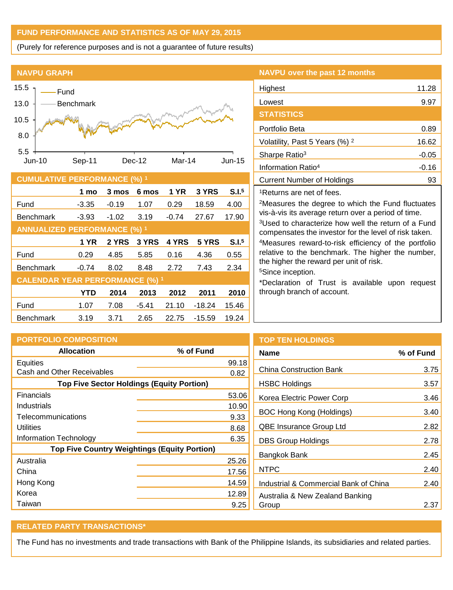# **FUND PERFORMANCE AND STATISTICS AS OF MAY 29, 2015**

(Purely for reference purposes and is not a guarantee of future results)

#### **NAVPU GRAPH**



| <b>CUMULATIVE PERFORMANCE (%) 1</b>    |            |         |         |         |          |                   |
|----------------------------------------|------------|---------|---------|---------|----------|-------------------|
|                                        | 1 mo       | 3 mos   | 6 mos   | 1 YR    | 3 YRS    | S.I. <sup>5</sup> |
| Fund                                   | $-3.35$    | $-0.19$ | 1.07    | 0.29    | 18.59    | 4.00              |
| <b>Benchmark</b>                       | $-3.93$    | $-1.02$ | 3.19    | $-0.74$ | 27.67    | 17.90             |
| <b>ANNUALIZED PERFORMANCE (%) 1</b>    |            |         |         |         |          |                   |
|                                        | 1 YR       | 2 YRS   | 3 YRS   | 4 YRS   | 5 YRS    | S.I. <sup>5</sup> |
| Fund                                   | 0.29       | 4.85    | 5.85    | 0.16    | 4.36     | 0.55              |
| <b>Benchmark</b>                       | $-0.74$    | 8.02    | 8.48    | 2.72    | 7.43     | 2.34              |
| <b>CALENDAR YEAR PERFORMANCE (%) 1</b> |            |         |         |         |          |                   |
|                                        | <b>YTD</b> | 2014    | 2013    | 2012    | 2011     | 2010              |
| Fund                                   | 1.07       | 7.08    | $-5.41$ | 21.10   | -18.24   | 15.46             |
| <b>Benchmark</b>                       | 3.19       | 3.71    | 2.65    | 22.75   | $-15.59$ | 19.24             |

#### **NAVPU over the past 12 months**

| Highest                                                         | 11.28   |  |  |
|-----------------------------------------------------------------|---------|--|--|
| Lowest                                                          | 9.97    |  |  |
| <b>STATISTICS</b>                                               |         |  |  |
| Portfolio Beta                                                  | 0.89    |  |  |
| Volatility, Past 5 Years (%) <sup>2</sup>                       | 16.62   |  |  |
| Sharpe Ratio <sup>3</sup>                                       | $-0.05$ |  |  |
| Information Ratio <sup>4</sup>                                  | $-0.16$ |  |  |
| <b>Current Number of Holdings</b>                               | 93      |  |  |
| <sup>1</sup> Returns are net of fees.                           |         |  |  |
| <sup>2</sup> Measures the degree to which the Fund fluctuates   |         |  |  |
| vis-à-vis its average return over a period of time.             |         |  |  |
| <sup>3</sup> Used to characterize how well the return of a Fund |         |  |  |

<sup>3</sup>Used to characterize how well the return of a Fund compensates the investor for the level of risk taken.

<sup>4</sup>Measures reward-to-risk efficiency of the portfolio relative to the benchmark. The higher the number, the higher the reward per unit of risk.

<sup>5</sup>Since inception.

\*Declaration of Trust is available upon request through branch of account.

| <b>PORTFOLIO COMPOSITION</b>                        |                      | <b>TOP TEN HOLDINGS</b>               |           |
|-----------------------------------------------------|----------------------|---------------------------------------|-----------|
| <b>Allocation</b>                                   | % of Fund            | <b>Name</b>                           | % of Fund |
| Equities                                            | 99.18                | <b>China Construction Bank</b>        | 3.75      |
| Cash and Other Receivables                          | 0.82                 |                                       |           |
| <b>Top Five Sector Holdings (Equity Portion)</b>    | <b>HSBC Holdings</b> | 3.57                                  |           |
| <b>Financials</b>                                   | 53.06                | Korea Electric Power Corp             | 3.46      |
| Industrials                                         | 10.90                |                                       |           |
| Telecommunications                                  | 9.33                 | BOC Hong Kong (Holdings)              | 3.40      |
| <b>Utilities</b>                                    | 8.68                 | QBE Insurance Group Ltd               | 2.82      |
| Information Technology                              | 6.35                 | <b>DBS Group Holdings</b>             | 2.78      |
| <b>Top Five Country Weightings (Equity Portion)</b> |                      | Bangkok Bank                          | 2.45      |
| Australia                                           | 25.26                |                                       |           |
| China                                               | 17.56                | <b>NTPC</b>                           | 2.40      |
| Hong Kong                                           | 14.59                | Industrial & Commercial Bank of China | 2.40      |
| Korea                                               | 12.89                | Australia & New Zealand Banking       |           |
| Taiwan                                              | 9.25                 | Group                                 | 2.37      |

#### **RELATED PARTY TRANSACTIONS\***

The Fund has no investments and trade transactions with Bank of the Philippine Islands, its subsidiaries and related parties.